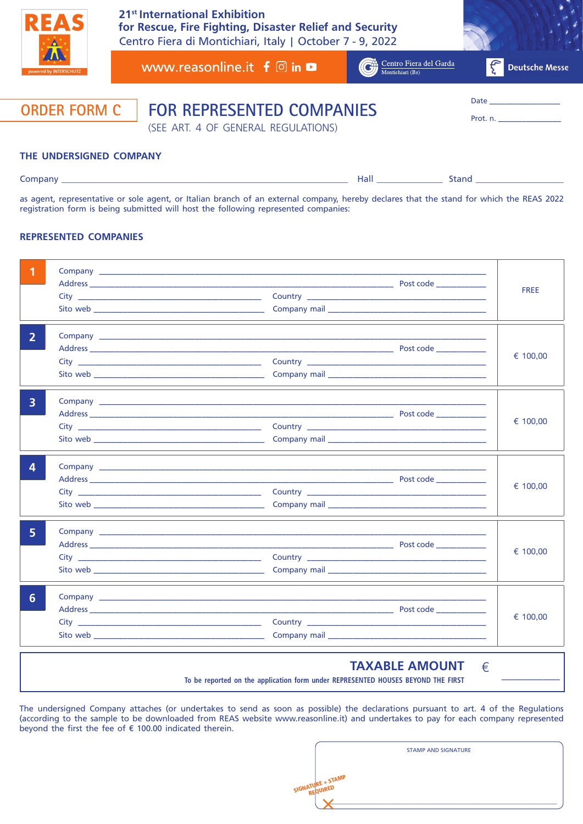

Centro Fiera di Montichiari, Italy | October 7 - 9, 2022 **21st International Exhibition for Rescue, Fire Fighting, Disaster Relief and Security**

Company \_\_\_\_\_\_\_\_\_\_\_\_\_\_\_\_\_\_\_\_\_\_\_\_\_\_\_\_\_\_\_\_\_\_\_\_\_\_\_\_\_\_\_\_\_\_\_\_\_\_\_\_\_\_\_\_\_\_\_\_\_\_\_\_\_ Hall \_\_\_\_\_\_\_\_\_\_\_\_\_\_\_ Stand \_\_\_\_\_\_\_\_\_\_\_\_\_\_\_\_\_\_\_\_

| 7. J U. V<br>powered by INTERSCHUTZ | www.reasonline.it $f \circ$ in                                          | Centro Fiera del Garda<br>Montichiari (Bs) | Deutsche Messe                                                                                                                                                                                                                            |
|-------------------------------------|-------------------------------------------------------------------------|--------------------------------------------|-------------------------------------------------------------------------------------------------------------------------------------------------------------------------------------------------------------------------------------------|
| <b>ORDER FORM C</b>                 | <b>FOR REPRESENTED COMPANIES</b><br>(SEE ART. 4 OF GENERAL REGULATIONS) |                                            | Date that the contract of the contract of the contract of the contract of the contract of the contract of the contract of the contract of the contract of the contract of the contract of the contract of the contract of the<br>Prot. n. |
| THE UNDERSIGNED COMPANY             |                                                                         |                                            |                                                                                                                                                                                                                                           |

as agent, representative or sole agent, or Italian branch of an external company, hereby declares that the stand for which the REAS 2022 registration form is being submitted will host the following represented companies:

## **REPRESENTED COMPANIES**

|   |                                                                                                                                                                                                                                     |  | <b>FREE</b> |
|---|-------------------------------------------------------------------------------------------------------------------------------------------------------------------------------------------------------------------------------------|--|-------------|
| 2 | <b>Company</b> company and the company of the company of the company of the company of the company of the company of the company of the company of the company of the company of the company of the company of the company of the c |  | € 100,00    |
| 3 |                                                                                                                                                                                                                                     |  | € 100,00    |
|   |                                                                                                                                                                                                                                     |  | € 100,00    |
|   |                                                                                                                                                                                                                                     |  | € 100,00    |
| 6 |                                                                                                                                                                                                                                     |  | € 100,00    |

The undersigned Company attaches (or undertakes to send as soon as possible) the declarations pursuant to art. 4 of the Regulations (according to the sample to be downloaded from REAS website www.reasonline.it) and undertakes to pay for each company represented beyond the first the fee of  $\epsilon$  100.00 indicated therein.

**To be reported on the application form under REPRESENTED HOUSES BEYOND THE FIRST**

|                         | <b>STAMP AND SIGNATURE</b> |  |
|-------------------------|----------------------------|--|
|                         |                            |  |
| <b>IGNATURE + STAMP</b> |                            |  |
|                         |                            |  |

**TAXABLE AMOUNT**

 $\epsilon$